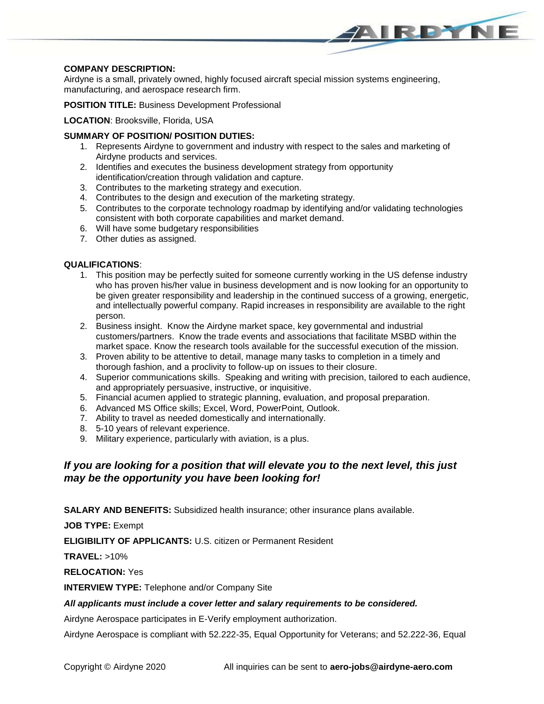## **COMPANY DESCRIPTION:**

Airdyne is a small, privately owned, highly focused aircraft special mission systems engineering, manufacturing, and aerospace research firm.

AIRDYNE

**POSITION TITLE:** Business Development Professional

#### **LOCATION**: Brooksville, Florida, USA

### **SUMMARY OF POSITION/ POSITION DUTIES:**

- 1. Represents Airdyne to government and industry with respect to the sales and marketing of Airdyne products and services.
- 2. Identifies and executes the business development strategy from opportunity identification/creation through validation and capture.
- 3. Contributes to the marketing strategy and execution.
- 4. Contributes to the design and execution of the marketing strategy.
- 5. Contributes to the corporate technology roadmap by identifying and/or validating technologies consistent with both corporate capabilities and market demand.
- 6. Will have some budgetary responsibilities
- 7. Other duties as assigned.

#### **QUALIFICATIONS**:

- 1. This position may be perfectly suited for someone currently working in the US defense industry who has proven his/her value in business development and is now looking for an opportunity to be given greater responsibility and leadership in the continued success of a growing, energetic, and intellectually powerful company. Rapid increases in responsibility are available to the right person.
- 2. Business insight. Know the Airdyne market space, key governmental and industrial customers/partners. Know the trade events and associations that facilitate MSBD within the market space. Know the research tools available for the successful execution of the mission.
- 3. Proven ability to be attentive to detail, manage many tasks to completion in a timely and thorough fashion, and a proclivity to follow-up on issues to their closure.
- 4. Superior communications skills. Speaking and writing with precision, tailored to each audience, and appropriately persuasive, instructive, or inquisitive.
- 5. Financial acumen applied to strategic planning, evaluation, and proposal preparation.
- 6. Advanced MS Office skills; Excel, Word, PowerPoint, Outlook.
- 7. Ability to travel as needed domestically and internationally.
- 8. 5-10 years of relevant experience.
- 9. Military experience, particularly with aviation, is a plus.

# *If you are looking for a position that will elevate you to the next level, this just may be the opportunity you have been looking for!*

**SALARY AND BENEFITS:** Subsidized health insurance; other insurance plans available.

**JOB TYPE:** Exempt

**ELIGIBILITY OF APPLICANTS:** U.S. citizen or Permanent Resident

**TRAVEL:** >10%

**RELOCATION:** Yes

**INTERVIEW TYPE:** Telephone and/or Company Site

#### *All applicants must include a cover letter and salary requirements to be considered.*

Airdyne Aerospace participates in E-Verify employment authorization.

Airdyne Aerospace is compliant with 52.222-35, Equal Opportunity for Veterans; and 52.222-36, Equal